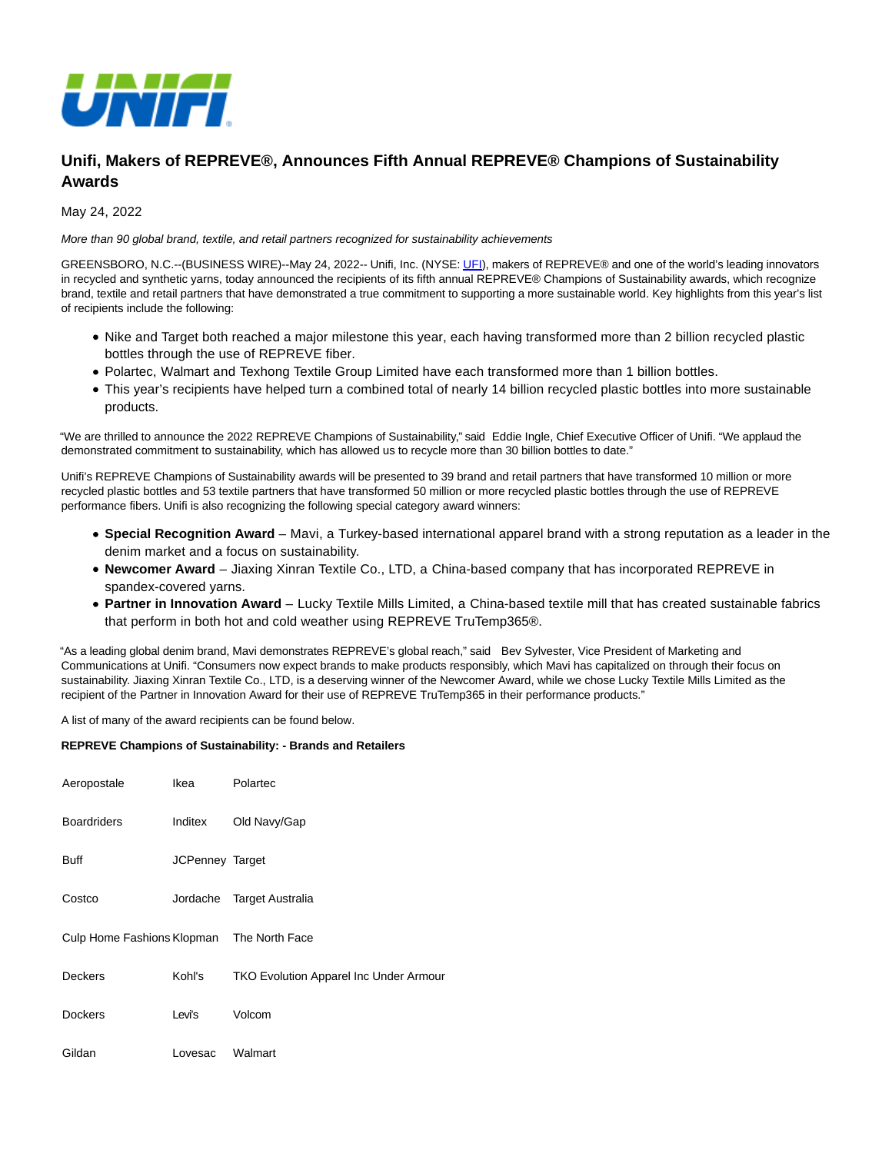

# **Unifi, Makers of REPREVE®, Announces Fifth Annual REPREVE® Champions of Sustainability Awards**

May 24, 2022

#### More than 90 global brand, textile, and retail partners recognized for sustainability achievements

GREENSBORO, N.C.--(BUSINESS WIRE)--May 24, 2022-- Unifi, Inc. (NYSE[: UFI\),](https://cts.businesswire.com/ct/CT?id=smartlink&url=http%3A%2F%2Fmarkets.financialcontent.com%2Fprnews%2Fquote%3FSymbol%3DUFI&esheet=52728676&newsitemid=20220524005352&lan=en-US&anchor=UFI&index=1&md5=ce16f41976b930ae75447d3bdf4cc0f4) makers of REPREVE® and one of the world's leading innovators in recycled and synthetic yarns, today announced the recipients of its fifth annual REPREVE® Champions of Sustainability awards, which recognize brand, textile and retail partners that have demonstrated a true commitment to supporting a more sustainable world. Key highlights from this year's list of recipients include the following:

- Nike and Target both reached a major milestone this year, each having transformed more than 2 billion recycled plastic bottles through the use of REPREVE fiber.
- Polartec, Walmart and Texhong Textile Group Limited have each transformed more than 1 billion bottles.
- This year's recipients have helped turn a combined total of nearly 14 billion recycled plastic bottles into more sustainable products.

"We are thrilled to announce the 2022 REPREVE Champions of Sustainability," said Eddie Ingle, Chief Executive Officer of Unifi. "We applaud the demonstrated commitment to sustainability, which has allowed us to recycle more than 30 billion bottles to date."

Unifi's REPREVE Champions of Sustainability awards will be presented to 39 brand and retail partners that have transformed 10 million or more recycled plastic bottles and 53 textile partners that have transformed 50 million or more recycled plastic bottles through the use of REPREVE performance fibers. Unifi is also recognizing the following special category award winners:

- **Special Recognition Award** Mavi, a Turkey-based international apparel brand with a strong reputation as a leader in the denim market and a focus on sustainability.
- **Newcomer Award** Jiaxing Xinran Textile Co., LTD, a China-based company that has incorporated REPREVE in spandex-covered yarns.
- **Partner in Innovation Award** Lucky Textile Mills Limited, a China-based textile mill that has created sustainable fabrics that perform in both hot and cold weather using REPREVE TruTemp365®.

"As a leading global denim brand, Mavi demonstrates REPREVE's global reach," said Bev Sylvester, Vice President of Marketing and Communications at Unifi. "Consumers now expect brands to make products responsibly, which Mavi has capitalized on through their focus on sustainability. Jiaxing Xinran Textile Co., LTD, is a deserving winner of the Newcomer Award, while we chose Lucky Textile Mills Limited as the recipient of the Partner in Innovation Award for their use of REPREVE TruTemp365 in their performance products."

A list of many of the award recipients can be found below.

### **REPREVE Champions of Sustainability: - Brands and Retailers**

| Aeropostale                               | Ikea            | Polartec                                      |
|-------------------------------------------|-----------------|-----------------------------------------------|
| <b>Boardriders</b>                        | Inditex         | Old Navy/Gap                                  |
| <b>Buff</b>                               | JCPenney Target |                                               |
| Costco                                    | Jordache        | Target Australia                              |
| Culp Home Fashions Klopman The North Face |                 |                                               |
| <b>Deckers</b>                            | Kohl's          | <b>TKO Evolution Apparel Inc Under Armour</b> |
| <b>Dockers</b>                            | Levi's          | Volcom                                        |
| Gildan                                    | Lovesac         | Walmart                                       |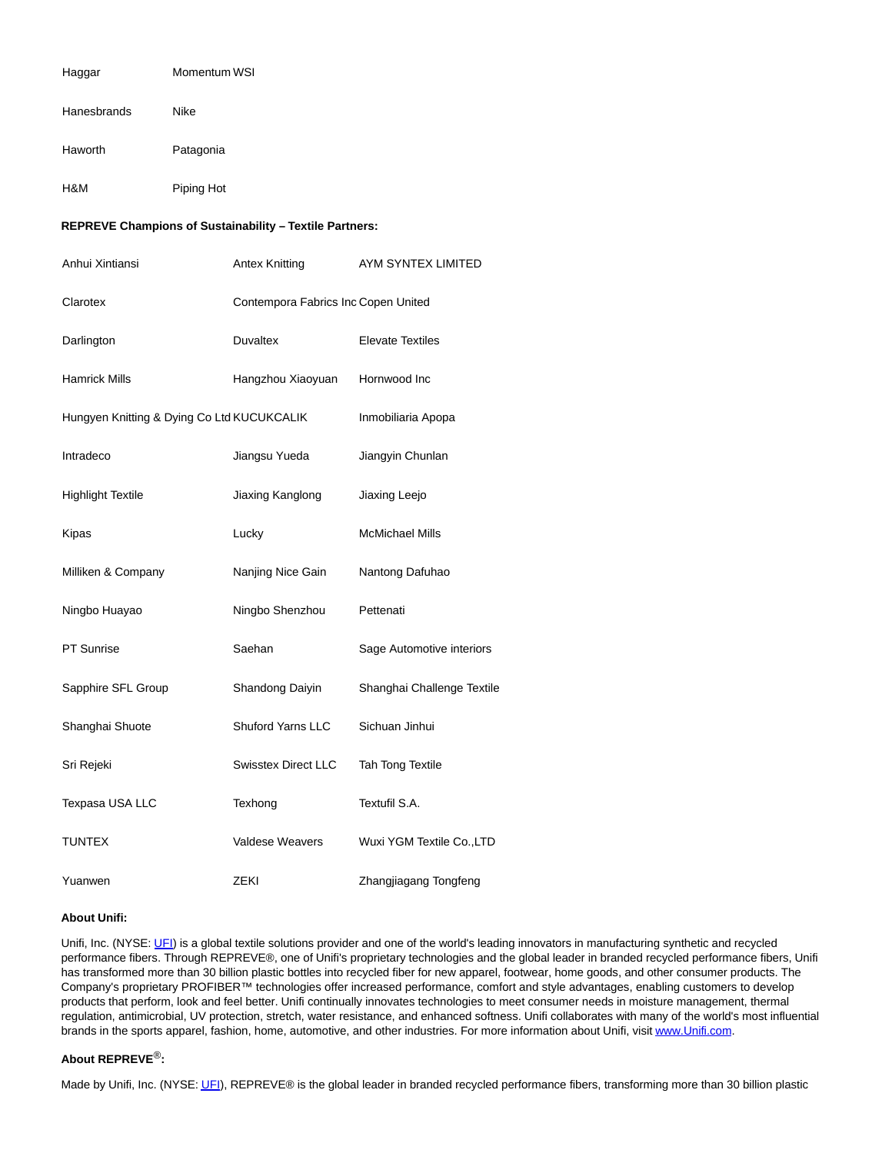| Haggar                                                  | Momentum WSI |                                     |                            |  |  |
|---------------------------------------------------------|--------------|-------------------------------------|----------------------------|--|--|
| Hanesbrands                                             | Nike         |                                     |                            |  |  |
| Haworth                                                 | Patagonia    |                                     |                            |  |  |
| H&M                                                     | Piping Hot   |                                     |                            |  |  |
| REPREVE Champions of Sustainability - Textile Partners: |              |                                     |                            |  |  |
| Anhui Xintiansi                                         |              | Antex Knitting                      | AYM SYNTEX LIMITED         |  |  |
| Clarotex                                                |              | Contempora Fabrics Inc Copen United |                            |  |  |
| Darlington                                              |              | Duvaltex                            | <b>Elevate Textiles</b>    |  |  |
| Hamrick Mills                                           |              | Hangzhou Xiaoyuan                   | Hornwood Inc               |  |  |
| Hungyen Knitting & Dying Co Ltd KUCUKCALIK              |              |                                     | Inmobiliaria Apopa         |  |  |
| Intradeco                                               |              | Jiangsu Yueda                       | Jiangyin Chunlan           |  |  |
| <b>Highlight Textile</b>                                |              | Jiaxing Kanglong                    | Jiaxing Leejo              |  |  |
| Kipas                                                   |              | Lucky                               | <b>McMichael Mills</b>     |  |  |
| Milliken & Company                                      |              | Nanjing Nice Gain                   | Nantong Dafuhao            |  |  |
| Ningbo Huayao                                           |              | Ningbo Shenzhou                     | Pettenati                  |  |  |
| <b>PT Sunrise</b>                                       |              | Saehan                              | Sage Automotive interiors  |  |  |
| Sapphire SFL Group                                      |              | Shandong Daiyin                     | Shanghai Challenge Textile |  |  |
| Shanghai Shuote                                         |              | Shuford Yarns LLC                   | Sichuan Jinhui             |  |  |
| Sri Rejeki                                              |              | <b>Swisstex Direct LLC</b>          | Tah Tong Textile           |  |  |
| Texpasa USA LLC                                         |              | Texhong                             | Textufil S.A.              |  |  |
| TUNTEX                                                  |              | Valdese Weavers                     | Wuxi YGM Textile Co., LTD  |  |  |
| Yuanwen                                                 |              | ZEKI                                | Zhangjiagang Tongfeng      |  |  |

#### **About Unifi:**

Unifi, Inc. (NYSE: [UFI\)](https://cts.businesswire.com/ct/CT?id=smartlink&url=http%3A%2F%2Fmarkets.financialcontent.com%2Fprnews%2Fquote%3FSymbol%3DUFI&esheet=52728676&newsitemid=20220524005352&lan=en-US&anchor=UFI&index=2&md5=06741d1d4720914665f95db79d5be696) is a global textile solutions provider and one of the world's leading innovators in manufacturing synthetic and recycled performance fibers. Through REPREVE®, one of Unifi's proprietary technologies and the global leader in branded recycled performance fibers, Unifi has transformed more than 30 billion plastic bottles into recycled fiber for new apparel, footwear, home goods, and other consumer products. The Company's proprietary PROFIBER™ technologies offer increased performance, comfort and style advantages, enabling customers to develop products that perform, look and feel better. Unifi continually innovates technologies to meet consumer needs in moisture management, thermal regulation, antimicrobial, UV protection, stretch, water resistance, and enhanced softness. Unifi collaborates with many of the world's most influential brands in the sports apparel, fashion, home, automotive, and other industries. For more information about Unifi, visi[t www.Unifi.com.](https://cts.businesswire.com/ct/CT?id=smartlink&url=http%3A%2F%2Fwww.Unifi.com&esheet=52728676&newsitemid=20220524005352&lan=en-US&anchor=www.Unifi.com&index=3&md5=df16b73530fda4d2a3965781d0b5d87d)

## **About REPREVE**®**:**

Made by Unifi, Inc. (NYSE[: UFI\),](https://cts.businesswire.com/ct/CT?id=smartlink&url=http%3A%2F%2Fmarkets.financialcontent.com%2Fprnews%2Fquote%3FSymbol%3DUFI&esheet=52728676&newsitemid=20220524005352&lan=en-US&anchor=UFI&index=4&md5=a4380b079459236da4ab547174747caa) REPREVE® is the global leader in branded recycled performance fibers, transforming more than 30 billion plastic